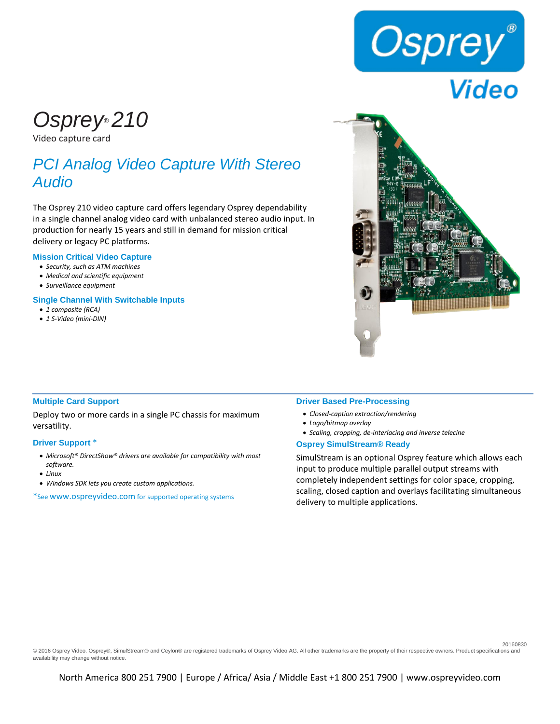

# *Osprey® 210*

Video capture card

## *PCI Analog Video Capture With Stereo Audio*

The Osprey 210 video capture card offers legendary Osprey dependability in a single channel analog video card with unbalanced stereo audio input. In production for nearly 15 years and still in demand for mission critical delivery or legacy PC platforms.

#### **Mission Critical Video Capture**

- *Security, such as ATM machines*
- *Medical and scientific equipment*
- *Surveillance equipment*

#### **Single Channel With Switchable Inputs**

- *1 composite (RCA)*
- *1 S-Video (mini-DIN)*



#### **Multiple Card Support**

Deploy two or more cards in a single PC chassis for maximum versatility.

#### **Driver Support** \*

- *Microsoft® DirectShow® drivers are available for compatibility with most software.*
- $\bullet$  *Linux*
- *Windows SDK lets you create custom applications.*

\*See www.ospreyvideo.com for supported operating systems

#### **Driver Based Pre-Processing**

- *Closed-caption extraction/rendering*
- *Logo/bitmap overlay*
- *Scaling, cropping, de-interlacing and inverse telecine*

### **Osprey SimulStream® Ready**

SimulStream is an optional Osprey feature which allows each input to produce multiple parallel output streams with completely independent settings for color space, cropping, scaling, closed caption and overlays facilitating simultaneous delivery to multiple applications.

20160830

© 2016 Osprey Video. Osprey®, SimulStream® and Ceylon® are registered trademarks of Osprey Video AG. All other trademarks are the property of their respective owners. Product specifications and availability may change without notice.